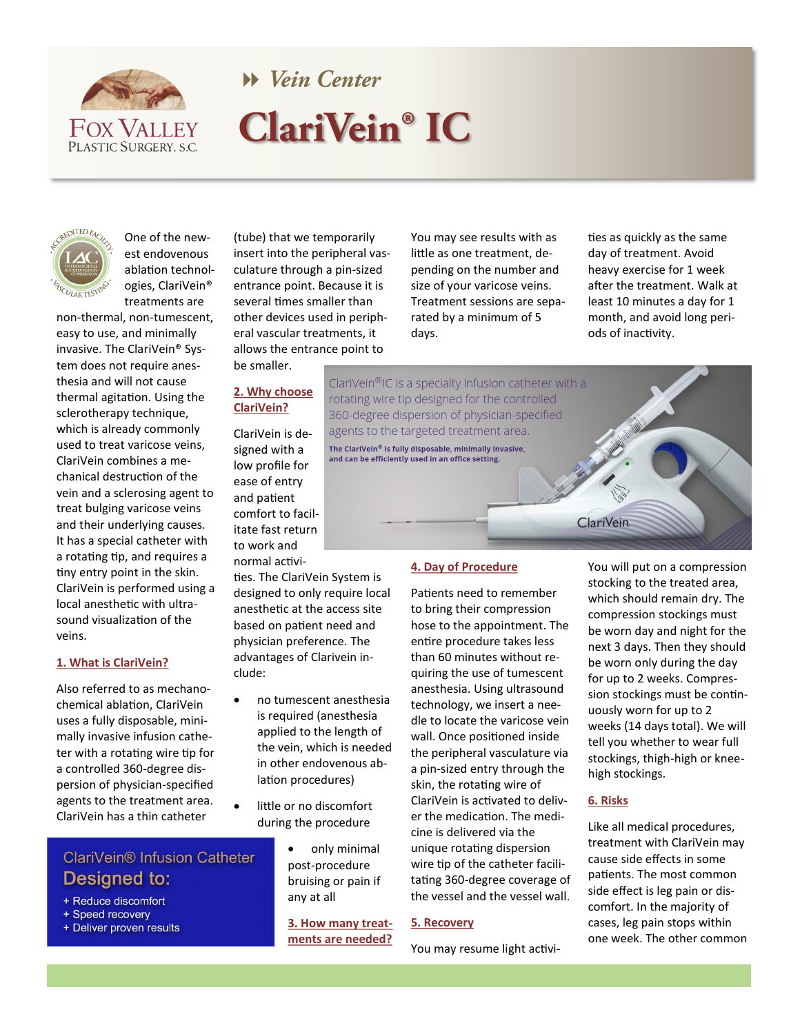

# **W** Vein Center **ClariVein® IC**



One of the newest endovenous ablation technologies, ClariVein® treatments are

non-thermal, non-tumescent, easy to use, and minimally invasive. The ClariVein® System does not require anesthesia and will not cause thermal agitation. Using the sclerotherapy technique, which is already commonly used to treat varicose veins, ClariVein combines a mechanical destruction of the vein and a sclerosing agent to treat bulging varicose veins and their underlying causes. It has a special catheter with a rotating tip, and requires a tiny entry point in the skin. ClariVein is performed using a local anesthetic with ultrasound visualization of the veins.

### **1. What is ClariVein?**

Also referred to as mechanochemical ablation, ClariVein uses a fully disposable, minimally invasive infusion catheter with a rotating wire tip for a controlled 360-degree dispersion of physician-specified agents to the treatment area. ClariVein has a thin catheter

## ClariVein® Infusion Catheter Designed to:

- + Reduce discomfort
- + Speed recovery
- + Deliver proven results

(tube) that we temporarily insert into the peripheral vasculature through a pin-sized entrance point. Because it is several times smaller than other devices used in peripheral vascular treatments, it allows the entrance point to be smaller.

### **2. Why choose ClariVein?**

ClariVein is designed with a low profile for ease of entry and patient comfort to facilitate fast return to work and normal activi-

ties. The ClariVein System is designed to only require local anesthetic at the access site based on patient need and physician preference. The advantages of Clarivein include:

- no tumescent anesthesia is required (anesthesia applied to the length of the vein, which is needed in other endovenous ablation procedures)
- little or no discomfort during the procedure
	- only minimal post-procedure bruising or pain if any at all

**3. How many treatments are needed?**

You may see results with as little as one treatment, depending on the number and size of your varicose veins. Treatment sessions are separated by a minimum of 5 days.

ties as quickly as the same day of treatment. Avoid heavy exercise for 1 week after the treatment. Walk at least 10 minutes a day for 1 month, and avoid long periods of inactivity.

ClariVein®IC is a specialty infusion catheter with a rotating wire tip designed for the controlled 360-degree dispersion of physician-specified agents to the targeted treatment area. The ClariVein® is fully disposable, minimally invasive,

# and can be efficiently used in an office setting.

### **4. Day of Procedure**

Patients need to remember to bring their compression hose to the appointment. The entire procedure takes less than 60 minutes without requiring the use of tumescent anesthesia. Using ultrasound technology, we insert a needle to locate the varicose vein wall. Once positioned inside the peripheral vasculature via a pin-sized entry through the skin, the rotating wire of ClariVein is activated to deliver the medication. The medicine is delivered via the unique rotating dispersion wire tip of the catheter facilitating 360-degree coverage of the vessel and the vessel wall.

### **5. Recovery**

You may resume light activi-

You will put on a compression stocking to the treated area, which should remain dry. The compression stockings must be worn day and night for the next 3 days. Then they should be worn only during the day for up to 2 weeks. Compression stockings must be continuously worn for up to 2 weeks (14 days total). We will tell you whether to wear full stockings, thigh-high or kneehigh stockings.

#### **6. Risks**

**ClariVein** 

Like all medical procedures, treatment with ClariVein may cause side effects in some patients. The most common side effect is leg pain or discomfort. In the majority of cases, leg pain stops within one week. The other common